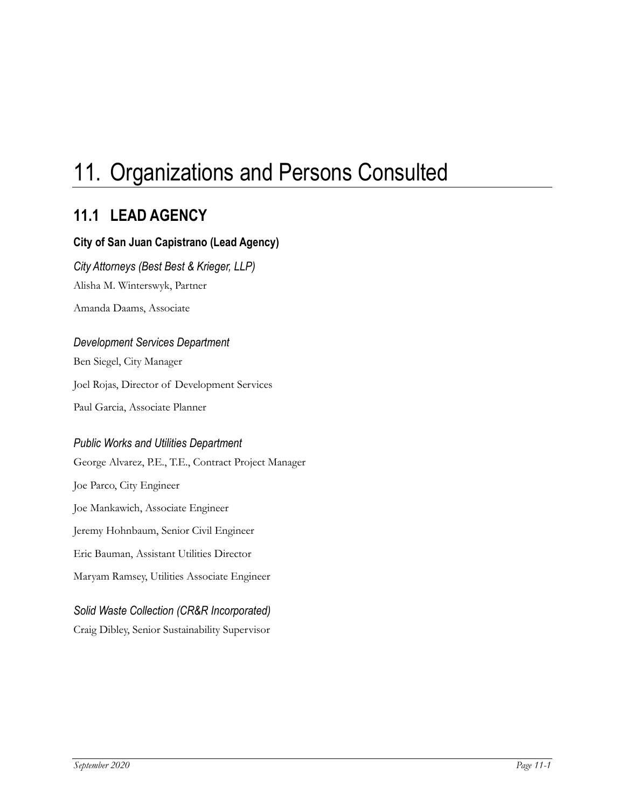# 11. Organizations and Persons Consulted

## **11.1 LEAD AGENCY**

#### **City of San Juan Capistrano (Lead Agency)**

*City Attorneys (Best Best & Krieger, LLP)* Alisha M. Winterswyk, Partner

Amanda Daams, Associate

#### *Development Services Department*

Ben Siegel, City Manager Joel Rojas, Director of Development Services Paul Garcia, Associate Planner

#### *Public Works and Utilities Department*

George Alvarez, P.E., T.E., Contract Project Manager Joe Parco, City Engineer Joe Mankawich, Associate Engineer Jeremy Hohnbaum, Senior Civil Engineer Eric Bauman, Assistant Utilities Director Maryam Ramsey, Utilities Associate Engineer

#### *Solid Waste Collection (CR&R Incorporated)*

Craig Dibley, Senior Sustainability Supervisor